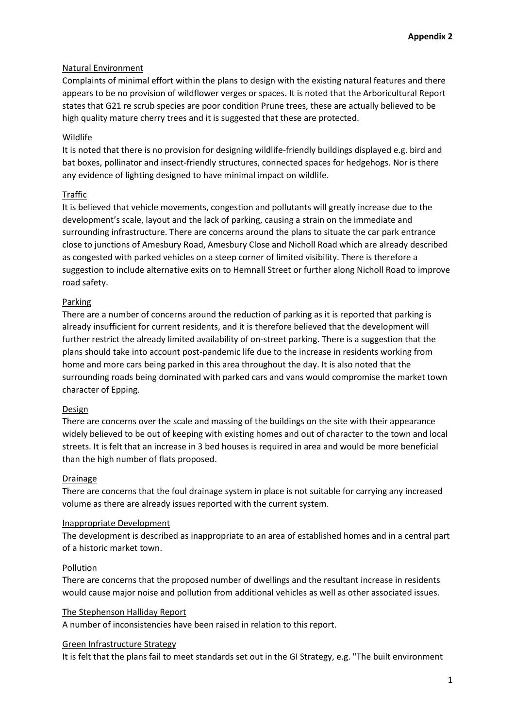## Natural Environment

Complaints of minimal effort within the plans to design with the existing natural features and there appears to be no provision of wildflower verges or spaces. It is noted that the Arboricultural Report states that G21 re scrub species are poor condition Prune trees, these are actually believed to be high quality mature cherry trees and it is suggested that these are protected.

### Wildlife

It is noted that there is no provision for designing wildlife-friendly buildings displayed e.g. bird and bat boxes, pollinator and insect-friendly structures, connected spaces for hedgehogs. Nor is there any evidence of lighting designed to have minimal impact on wildlife.

## Traffic

It is believed that vehicle movements, congestion and pollutants will greatly increase due to the development's scale, layout and the lack of parking, causing a strain on the immediate and surrounding infrastructure. There are concerns around the plans to situate the car park entrance close to junctions of Amesbury Road, Amesbury Close and Nicholl Road which are already described as congested with parked vehicles on a steep corner of limited visibility. There is therefore a suggestion to include alternative exits on to Hemnall Street or further along Nicholl Road to improve road safety.

### Parking

There are a number of concerns around the reduction of parking as it is reported that parking is already insufficient for current residents, and it is therefore believed that the development will further restrict the already limited availability of on-street parking. There is a suggestion that the plans should take into account post-pandemic life due to the increase in residents working from home and more cars being parked in this area throughout the day. It is also noted that the surrounding roads being dominated with parked cars and vans would compromise the market town character of Epping.

#### Design

There are concerns over the scale and massing of the buildings on the site with their appearance widely believed to be out of keeping with existing homes and out of character to the town and local streets. It is felt that an increase in 3 bed houses is required in area and would be more beneficial than the high number of flats proposed.

#### Drainage

There are concerns that the foul drainage system in place is not suitable for carrying any increased volume as there are already issues reported with the current system.

#### Inappropriate Development

The development is described as inappropriate to an area of established homes and in a central part of a historic market town.

#### Pollution

There are concerns that the proposed number of dwellings and the resultant increase in residents would cause major noise and pollution from additional vehicles as well as other associated issues.

#### The Stephenson Halliday Report

A number of inconsistencies have been raised in relation to this report.

#### Green Infrastructure Strategy

It is felt that the plans fail to meet standards set out in the GI Strategy, e.g. "The built environment